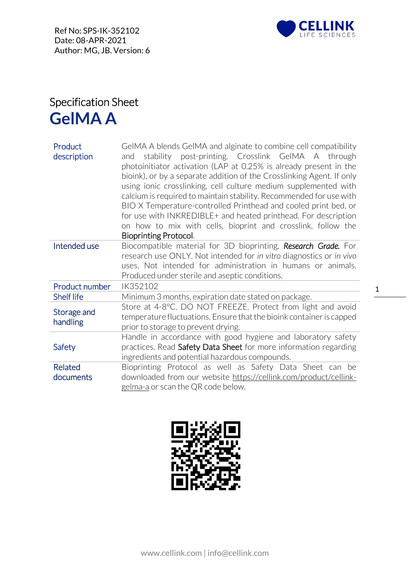

## Specification Sheet **GelMA A**

| Product<br>description  | GeIMA A blends GeIMA and alginate to combine cell compatibility<br>stability post-printing. Crosslink GelMA A through<br>and<br>photoinitiator activation (LAP at 0.25% is already present in the<br>bioink), or by a separate addition of the Crosslinking Agent. If only<br>using ionic crosslinking, cell culture medium supplemented with<br>calcium is required to maintain stability. Recommended for use with<br>BIO X Temperature-controlled Printhead and cooled print bed, or<br>for use with INKREDIBLE+ and heated printhead. For description<br>on how to mix with cells, bioprint and crosslink, follow the<br><b>Bioprinting Protocol.</b> |
|-------------------------|-----------------------------------------------------------------------------------------------------------------------------------------------------------------------------------------------------------------------------------------------------------------------------------------------------------------------------------------------------------------------------------------------------------------------------------------------------------------------------------------------------------------------------------------------------------------------------------------------------------------------------------------------------------|
| Intended use            | Biocompatible material for 3D bioprinting, Research Grade. For<br>research use ONLY. Not intended for in vitro diagnostics or in vivo<br>uses. Not intended for administration in humans or animals.<br>Produced under sterile and aseptic conditions.                                                                                                                                                                                                                                                                                                                                                                                                    |
| Product number          | IK352102                                                                                                                                                                                                                                                                                                                                                                                                                                                                                                                                                                                                                                                  |
| <b>Shelf life</b>       | Minimum 3 months, expiration date stated on package.                                                                                                                                                                                                                                                                                                                                                                                                                                                                                                                                                                                                      |
| Storage and<br>handling | Store at 4-8°C. DO NOT FREEZE. Protect from light and avoid<br>temperature fluctuations. Ensure that the bioink container is capped<br>prior to storage to prevent drying.                                                                                                                                                                                                                                                                                                                                                                                                                                                                                |
| Safety                  | Handle in accordance with good hygiene and laboratory safety<br>practices. Read Safety Data Sheet for more information regarding<br>ingredients and potential hazardous compounds.                                                                                                                                                                                                                                                                                                                                                                                                                                                                        |
| Related                 | Bioprinting Protocol as well as Safety Data Sheet can be                                                                                                                                                                                                                                                                                                                                                                                                                                                                                                                                                                                                  |
| documents               | downloaded from our website https://cellink.com/product/cellink-                                                                                                                                                                                                                                                                                                                                                                                                                                                                                                                                                                                          |
|                         | gelma-a or scan the QR code below.                                                                                                                                                                                                                                                                                                                                                                                                                                                                                                                                                                                                                        |